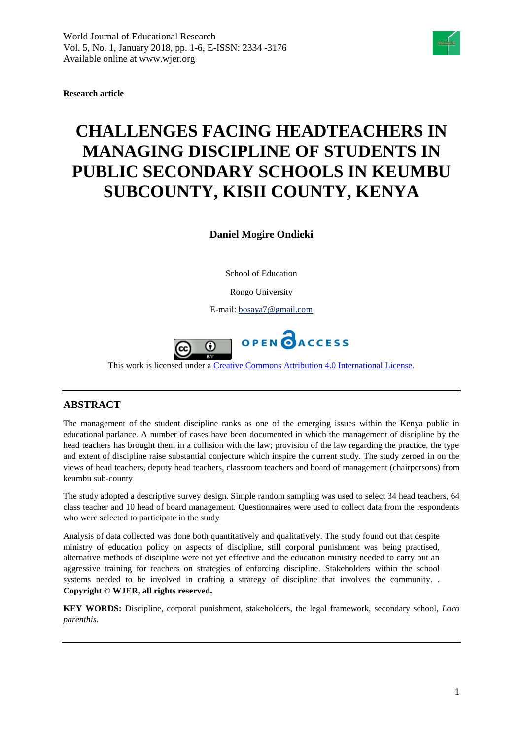

**Research article**

# **CHALLENGES FACING HEADTEACHERS IN MANAGING DISCIPLINE OF STUDENTS IN PUBLIC SECONDARY SCHOOLS IN KEUMBU SUBCOUNTY, KISII COUNTY, KENYA**

**Daniel Mogire Ondieki**

School of Education

Rongo University

E-mail[: bosaya7@gmail.com](mailto:bosaya7@gmail.com)



This work is licensed under a [Creative Commons Attribution 4.0 International License.](http://creativecommons.org/licenses/by/4.0/)

# **ABSTRACT**

The management of the student discipline ranks as one of the emerging issues within the Kenya public in educational parlance. A number of cases have been documented in which the management of discipline by the head teachers has brought them in a collision with the law; provision of the law regarding the practice, the type and extent of discipline raise substantial conjecture which inspire the current study. The study zeroed in on the views of head teachers, deputy head teachers, classroom teachers and board of management (chairpersons) from keumbu sub-county

The study adopted a descriptive survey design. Simple random sampling was used to select 34 head teachers, 64 class teacher and 10 head of board management. Questionnaires were used to collect data from the respondents who were selected to participate in the study

Analysis of data collected was done both quantitatively and qualitatively. The study found out that despite ministry of education policy on aspects of discipline, still corporal punishment was being practised, alternative methods of discipline were not yet effective and the education ministry needed to carry out an aggressive training for teachers on strategies of enforcing discipline. Stakeholders within the school systems needed to be involved in crafting a strategy of discipline that involves the community. . **Copyright © WJER, all rights reserved.** 

**KEY WORDS:** Discipline, corporal punishment, stakeholders, the legal framework, secondary school, *Loco parenthis*.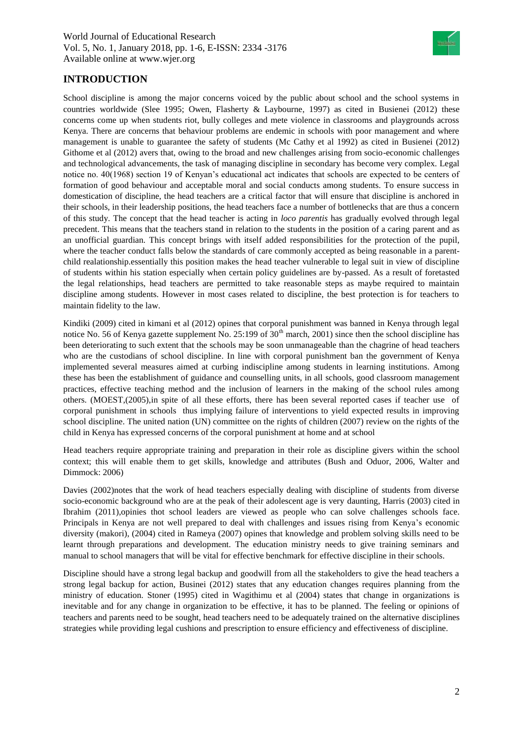

# **INTRODUCTION**

School discipline is among the major concerns voiced by the public about school and the school systems in countries worldwide (Slee 1995; Owen, Flasherty & Laybourne, 1997) as cited in Busienei (2012) these concerns come up when students riot, bully colleges and mete violence in classrooms and playgrounds across Kenya. There are concerns that behaviour problems are endemic in schools with poor management and where management is unable to guarantee the safety of students (Mc Cathy et al 1992) as cited in Busienei (2012) Githome et al (2012) avers that, owing to the broad and new challenges arising from socio-economic challenges and technological advancements, the task of managing discipline in secondary has become very complex. Legal notice no. 40(1968) section 19 of Kenyan's educational act indicates that schools are expected to be centers of formation of good behaviour and acceptable moral and social conducts among students. To ensure success in domestication of discipline, the head teachers are a critical factor that will ensure that discipline is anchored in their schools, in their leadership positions, the head teachers face a number of bottlenecks that are thus a concern of this study. The concept that the head teacher is acting in *loco parentis* has gradually evolved through legal precedent. This means that the teachers stand in relation to the students in the position of a caring parent and as an unofficial guardian. This concept brings with itself added responsibilities for the protection of the pupil, where the teacher conduct falls below the standards of care commonly accepted as being reasonable in a parentchild realationship.essentially this position makes the head teacher vulnerable to legal suit in view of discipline of students within his station especially when certain policy guidelines are by-passed. As a result of foretasted the legal relationships, head teachers are permitted to take reasonable steps as maybe required to maintain discipline among students. However in most cases related to discipline, the best protection is for teachers to maintain fidelity to the law.

Kindiki (2009) cited in kimani et al (2012) opines that corporal punishment was banned in Kenya through legal notice No. 56 of Kenya gazette supplement No. 25:199 of  $30<sup>th</sup>$  march, 2001) since then the school discipline has been deteriorating to such extent that the schools may be soon unmanageable than the chagrine of head teachers who are the custodians of school discipline. In line with corporal punishment ban the government of Kenya implemented several measures aimed at curbing indiscipline among students in learning institutions. Among these has been the establishment of guidance and counselling units, in all schools, good classroom management practices, effective teaching method and the inclusion of learners in the making of the school rules among others. (MOEST,(2005),in spite of all these efforts, there has been several reported cases if teacher use of corporal punishment in schools thus implying failure of interventions to yield expected results in improving school discipline. The united nation (UN) committee on the rights of children (2007) review on the rights of the child in Kenya has expressed concerns of the corporal punishment at home and at school

Head teachers require appropriate training and preparation in their role as discipline givers within the school context; this will enable them to get skills, knowledge and attributes (Bush and Oduor, 2006, Walter and Dimmock: 2006)

Davies (2002)notes that the work of head teachers especially dealing with discipline of students from diverse socio-economic background who are at the peak of their adolescent age is very daunting, Harris (2003) cited in Ibrahim (2011),opinies thot school leaders are viewed as people who can solve challenges schools face. Principals in Kenya are not well prepared to deal with challenges and issues rising from Kenya's economic diversity (makori), (2004) cited in Rameya (2007) opines that knowledge and problem solving skills need to be learnt through preparations and development. The education ministry needs to give training seminars and manual to school managers that will be vital for effective benchmark for effective discipline in their schools.

Discipline should have a strong legal backup and goodwill from all the stakeholders to give the head teachers a strong legal backup for action, Businei (2012) states that any education changes requires planning from the ministry of education. Stoner (1995) cited in Wagithimu et al (2004) states that change in organizations is inevitable and for any change in organization to be effective, it has to be planned. The feeling or opinions of teachers and parents need to be sought, head teachers need to be adequately trained on the alternative disciplines strategies while providing legal cushions and prescription to ensure efficiency and effectiveness of discipline.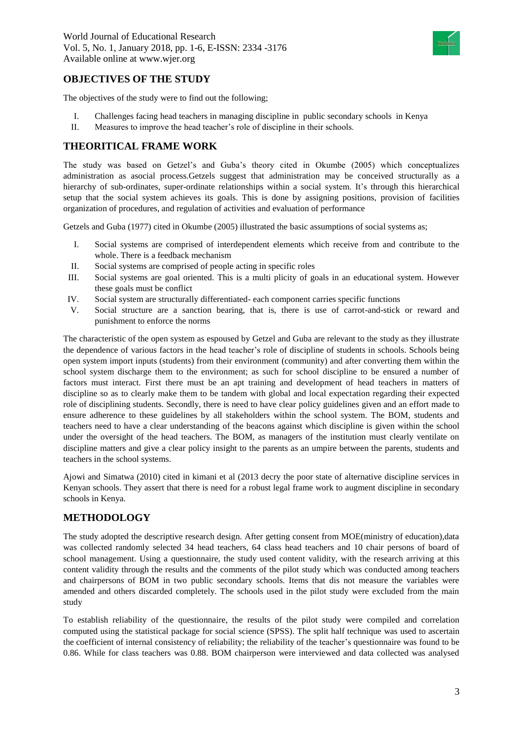

## **OBJECTIVES OF THE STUDY**

The objectives of the study were to find out the following;

- I. Challenges facing head teachers in managing discipline in public secondary schools in Kenya
- II. Measures to improve the head teacher's role of discipline in their schools.

## **THEORITICAL FRAME WORK**

The study was based on Getzel's and Guba's theory cited in Okumbe (2005) which conceptualizes administration as asocial process.Getzels suggest that administration may be conceived structurally as a hierarchy of sub-ordinates, super-ordinate relationships within a social system. It's through this hierarchical setup that the social system achieves its goals. This is done by assigning positions, provision of facilities organization of procedures, and regulation of activities and evaluation of performance

Getzels and Guba (1977) cited in Okumbe (2005) illustrated the basic assumptions of social systems as;

- I. Social systems are comprised of interdependent elements which receive from and contribute to the whole. There is a feedback mechanism
- II. Social systems are comprised of people acting in specific roles
- III. Social systems are goal oriented. This is a multi plicity of goals in an educational system. However these goals must be conflict
- IV. Social system are structurally differentiated- each component carries specific functions
- V. Social structure are a sanction bearing, that is, there is use of carrot-and-stick or reward and punishment to enforce the norms

The characteristic of the open system as espoused by Getzel and Guba are relevant to the study as they illustrate the dependence of various factors in the head teacher's role of discipline of students in schools. Schools being open system import inputs (students) from their environment (community) and after converting them within the school system discharge them to the environment; as such for school discipline to be ensured a number of factors must interact. First there must be an apt training and development of head teachers in matters of discipline so as to clearly make them to be tandem with global and local expectation regarding their expected role of disciplining students. Secondly, there is need to have clear policy guidelines given and an effort made to ensure adherence to these guidelines by all stakeholders within the school system. The BOM, students and teachers need to have a clear understanding of the beacons against which discipline is given within the school under the oversight of the head teachers. The BOM, as managers of the institution must clearly ventilate on discipline matters and give a clear policy insight to the parents as an umpire between the parents, students and teachers in the school systems.

Ajowi and Simatwa (2010) cited in kimani et al (2013 decry the poor state of alternative discipline services in Kenyan schools. They assert that there is need for a robust legal frame work to augment discipline in secondary schools in Kenya.

# **METHODOLOGY**

The study adopted the descriptive research design. After getting consent from MOE(ministry of education),data was collected randomly selected 34 head teachers, 64 class head teachers and 10 chair persons of board of school management. Using a questionnaire, the study used content validity, with the research arriving at this content validity through the results and the comments of the pilot study which was conducted among teachers and chairpersons of BOM in two public secondary schools. Items that dis not measure the variables were amended and others discarded completely. The schools used in the pilot study were excluded from the main study

To establish reliability of the questionnaire, the results of the pilot study were compiled and correlation computed using the statistical package for social science (SPSS). The split half technique was used to ascertain the coefficient of internal consistency of reliability; the reliability of the teacher's questionnaire was found to be 0.86. While for class teachers was 0.88. BOM chairperson were interviewed and data collected was analysed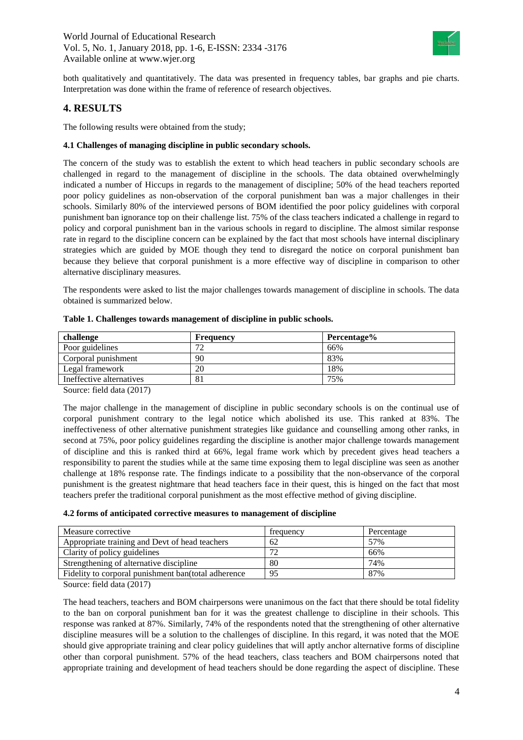

both qualitatively and quantitatively. The data was presented in frequency tables, bar graphs and pie charts. Interpretation was done within the frame of reference of research objectives.

## **4. RESULTS**

The following results were obtained from the study;

## **4.1 Challenges of managing discipline in public secondary schools.**

The concern of the study was to establish the extent to which head teachers in public secondary schools are challenged in regard to the management of discipline in the schools. The data obtained overwhelmingly indicated a number of Hiccups in regards to the management of discipline; 50% of the head teachers reported poor policy guidelines as non-observation of the corporal punishment ban was a major challenges in their schools. Similarly 80% of the interviewed persons of BOM identified the poor policy guidelines with corporal punishment ban ignorance top on their challenge list. 75% of the class teachers indicated a challenge in regard to policy and corporal punishment ban in the various schools in regard to discipline. The almost similar response rate in regard to the discipline concern can be explained by the fact that most schools have internal disciplinary strategies which are guided by MOE though they tend to disregard the notice on corporal punishment ban because they believe that corporal punishment is a more effective way of discipline in comparison to other alternative disciplinary measures.

The respondents were asked to list the major challenges towards management of discipline in schools. The data obtained is summarized below.

| challenge                | Frequency | Percentage% |
|--------------------------|-----------|-------------|
| Poor guidelines          | רת        | 66%         |
| Corporal punishment      | 90        | 83%         |
| Legal framework          | 20        | 18%         |
| Ineffective alternatives | 81        | 75%         |

|  | Table 1. Challenges towards management of discipline in public schools. |  |  |  |
|--|-------------------------------------------------------------------------|--|--|--|
|  |                                                                         |  |  |  |

Source: field data (2017)

The major challenge in the management of discipline in public secondary schools is on the continual use of corporal punishment contrary to the legal notice which abolished its use. This ranked at 83%. The ineffectiveness of other alternative punishment strategies like guidance and counselling among other ranks, in second at 75%, poor policy guidelines regarding the discipline is another major challenge towards management of discipline and this is ranked third at 66%, legal frame work which by precedent gives head teachers a responsibility to parent the studies while at the same time exposing them to legal discipline was seen as another challenge at 18% response rate. The findings indicate to a possibility that the non-observance of the corporal punishment is the greatest nightmare that head teachers face in their quest, this is hinged on the fact that most teachers prefer the traditional corporal punishment as the most effective method of giving discipline.

#### **4.2 forms of anticipated corrective measures to management of discipline**

| Measure corrective                                  | frequency   | Percentage |  |  |
|-----------------------------------------------------|-------------|------------|--|--|
| Appropriate training and Devt of head teachers      | 62          | 57%        |  |  |
| Clarity of policy guidelines                        | $7^{\circ}$ | 66%        |  |  |
| Strengthening of alternative discipline             | 80          | 74%        |  |  |
| Fidelity to corporal punishment ban(total adherence | 95          | 87%        |  |  |

Source: field data (2017)

The head teachers, teachers and BOM chairpersons were unanimous on the fact that there should be total fidelity to the ban on corporal punishment ban for it was the greatest challenge to discipline in their schools. This response was ranked at 87%. Similarly, 74% of the respondents noted that the strengthening of other alternative discipline measures will be a solution to the challenges of discipline. In this regard, it was noted that the MOE should give appropriate training and clear policy guidelines that will aptly anchor alternative forms of discipline other than corporal punishment. 57% of the head teachers, class teachers and BOM chairpersons noted that appropriate training and development of head teachers should be done regarding the aspect of discipline. These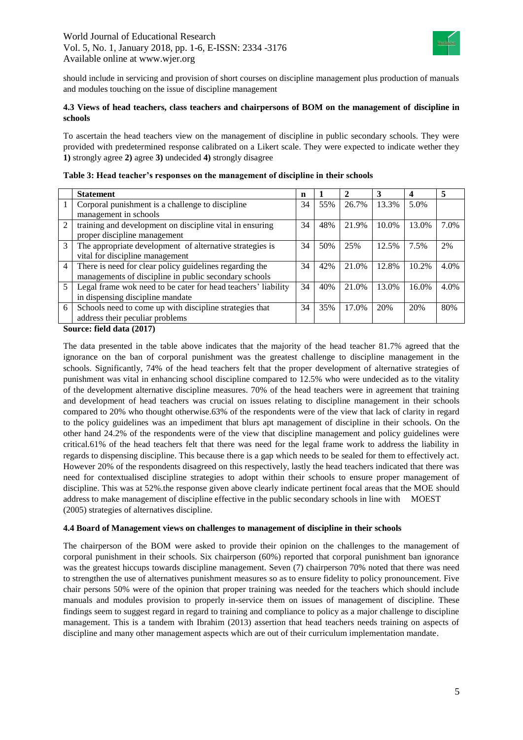

should include in servicing and provision of short courses on discipline management plus production of manuals and modules touching on the issue of discipline management

## **4.3 Views of head teachers, class teachers and chairpersons of BOM on the management of discipline in schools**

To ascertain the head teachers view on the management of discipline in public secondary schools. They were provided with predetermined response calibrated on a Likert scale. They were expected to indicate wether they **1)** strongly agree **2)** agree **3)** undecided **4)** strongly disagree

|   | <b>Statement</b>                                              | n  |     |       | 3     |       | 5    |
|---|---------------------------------------------------------------|----|-----|-------|-------|-------|------|
|   | Corporal punishment is a challenge to discipline              | 34 | 55% | 26.7% | 13.3% | 5.0%  |      |
|   | management in schools                                         |    |     |       |       |       |      |
| 2 | training and development on discipline vital in ensuring      | 34 | 48% | 21.9% | 10.0% | 13.0% | 7.0% |
|   | proper discipline management                                  |    |     |       |       |       |      |
| 3 | The appropriate development of alternative strategies is      | 34 | 50% | 25%   | 12.5% | 7.5%  | 2%   |
|   | vital for discipline management                               |    |     |       |       |       |      |
| 4 | There is need for clear policy guidelines regarding the       | 34 | 42% | 21.0% | 12.8% | 10.2% | 4.0% |
|   | managements of discipline in public secondary schools         |    |     |       |       |       |      |
| 5 | Legal frame wok need to be cater for head teachers' liability | 34 | 40% | 21.0% | 13.0% | 16.0% | 4.0% |
|   | in dispensing discipline mandate                              |    |     |       |       |       |      |
| 6 | Schools need to come up with discipline strategies that       | 34 | 35% | 17.0% | 20%   | 20%   | 80%  |
|   | address their peculiar problems                               |    |     |       |       |       |      |
|   |                                                               |    |     |       |       |       |      |

| Table 3: Head teacher's responses on the management of discipline in their schools |  |  |  |  |
|------------------------------------------------------------------------------------|--|--|--|--|
|                                                                                    |  |  |  |  |

**Source: field data (2017)**

The data presented in the table above indicates that the majority of the head teacher 81.7% agreed that the ignorance on the ban of corporal punishment was the greatest challenge to discipline management in the schools. Significantly, 74% of the head teachers felt that the proper development of alternative strategies of punishment was vital in enhancing school discipline compared to 12.5% who were undecided as to the vitality of the development alternative discipline measures. 70% of the head teachers were in agreement that training and development of head teachers was crucial on issues relating to discipline management in their schools compared to 20% who thought otherwise.63% of the respondents were of the view that lack of clarity in regard to the policy guidelines was an impediment that blurs apt management of discipline in their schools. On the other hand 24.2% of the respondents were of the view that discipline management and policy guidelines were critical.61% of the head teachers felt that there was need for the legal frame work to address the liability in regards to dispensing discipline. This because there is a gap which needs to be sealed for them to effectively act. However 20% of the respondents disagreed on this respectively, lastly the head teachers indicated that there was need for contextualised discipline strategies to adopt within their schools to ensure proper management of discipline. This was at 52%.the response given above clearly indicate pertinent focal areas that the MOE should address to make management of discipline effective in the public secondary schools in line with MOEST (2005) strategies of alternatives discipline.

## **4.4 Board of Management views on challenges to management of discipline in their schools**

The chairperson of the BOM were asked to provide their opinion on the challenges to the management of corporal punishment in their schools. Six chairperson (60%) reported that corporal punishment ban ignorance was the greatest hiccups towards discipline management. Seven (7) chairperson 70% noted that there was need to strengthen the use of alternatives punishment measures so as to ensure fidelity to policy pronouncement. Five chair persons 50% were of the opinion that proper training was needed for the teachers which should include manuals and modules provision to properly in-service them on issues of management of discipline. These findings seem to suggest regard in regard to training and compliance to policy as a major challenge to discipline management. This is a tandem with Ibrahim (2013) assertion that head teachers needs training on aspects of discipline and many other management aspects which are out of their curriculum implementation mandate.